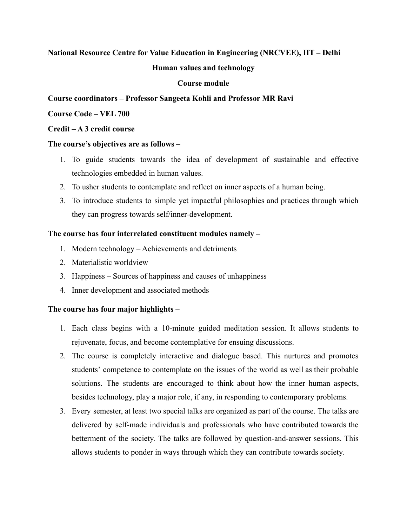# **National Resource Centre for Value Education in Engineering (NRCVEE), IIT – Delhi**

## **Human values and technology**

## **Course module**

## **Course coordinators – Professor Sangeeta Kohli and Professor MR Ravi**

## **Course Code – VEL 700**

### **Credit – A 3 credit course**

### **The course's objectives are as follows –**

- 1. To guide students towards the idea of development of sustainable and effective technologies embedded in human values.
- 2. To usher students to contemplate and reflect on inner aspects of a human being.
- 3. To introduce students to simple yet impactful philosophies and practices through which they can progress towards self/inner-development.

### **The course has four interrelated constituent modules namely –**

- 1. Modern technology Achievements and detriments
- 2. Materialistic worldview
- 3. Happiness Sources of happiness and causes of unhappiness
- 4. Inner development and associated methods

## **The course has four major highlights –**

- 1. Each class begins with a 10-minute guided meditation session. It allows students to rejuvenate, focus, and become contemplative for ensuing discussions.
- 2. The course is completely interactive and dialogue based. This nurtures and promotes students' competence to contemplate on the issues of the world as well as their probable solutions. The students are encouraged to think about how the inner human aspects, besides technology, play a major role, if any, in responding to contemporary problems.
- 3. Every semester, at least two special talks are organized as part of the course. The talks are delivered by self-made individuals and professionals who have contributed towards the betterment of the society. The talks are followed by question-and-answer sessions. This allows students to ponder in ways through which they can contribute towards society.